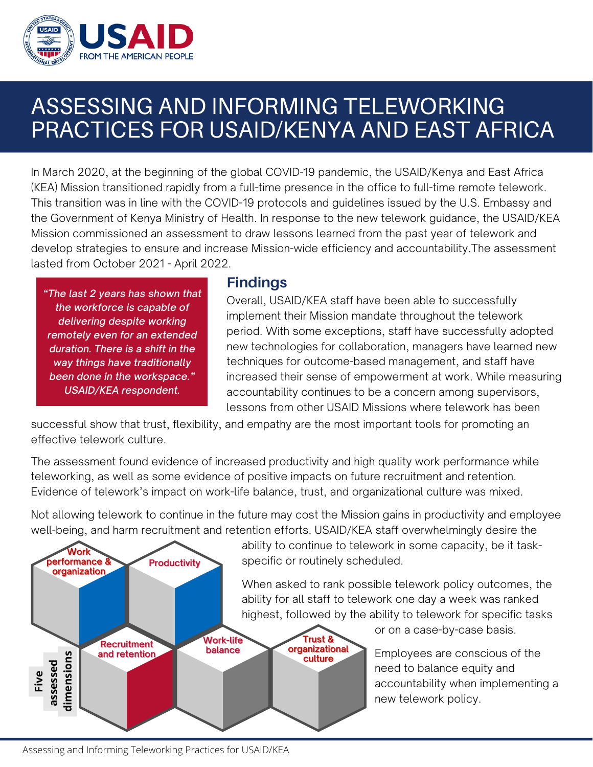

## ASSESSING AND INFORMING TELEWORKING PRACTICES FOR USAID/KENYA AND EAST AFRICA

In March 2020, at the beginning of the global COVID-19 pandemic, the USAID/Kenya and East Africa (KEA) Mission transitioned rapidly from a full-time presence in the office to full-time remote telework. This transition was in line with the COVID-19 protocols and guidelines issued by the U.S. Embassy and the Government of Kenya Ministry of Health. In response to the new telework guidance, the USAID/KEA Mission commissioned an assessment to draw lessons learned from the past year of telework and develop strategies to ensure and increase Mission-wide efficiency and accountability. The assessment lasted from October 2021 - April 2022.

"The last 2 years has shown that the workforce is capable of delivering despite working remotely even for an extended duration. There is a shift in the way things have traditionally been done in the workspace." **USAID/KEA respondent.** 

## **Findings**

Overall, USAID/KEA staff have been able to successfully implement their Mission mandate throughout the telework period. With some exceptions, staff have successfully adopted new technologies for collaboration, managers have learned new techniques for outcome-based management, and staff have increased their sense of empowerment at work. While measuring accountability continues to be a concern among supervisors, lessons from other USAID Missions where telework has been

successful show that trust, flexibility, and empathy are the most important tools for promoting an effective telework culture.

The assessment found evidence of increased productivity and high quality work performance while teleworking, as well as some evidence of positive impacts on future recruitment and retention. Evidence of telework's impact on work-life balance, trust, and organizational culture was mixed.

Not allowing telework to continue in the future may cost the Mission gains in productivity and employee well-being, and harm recruitment and retention efforts. USAID/KEA staff overwhelmingly desire the



ability to continue to telework in some capacity, be it task-

When asked to rank possible telework policy outcomes, the ability for all staff to telework one day a week was ranked highest, followed by the ability to telework for specific tasks

or on a case-by-case basis.

Employees are conscious of the need to balance equity and accountability when implementing a new telework policy.

Assessing and Informing Teleworking Practices for USAID/KEA